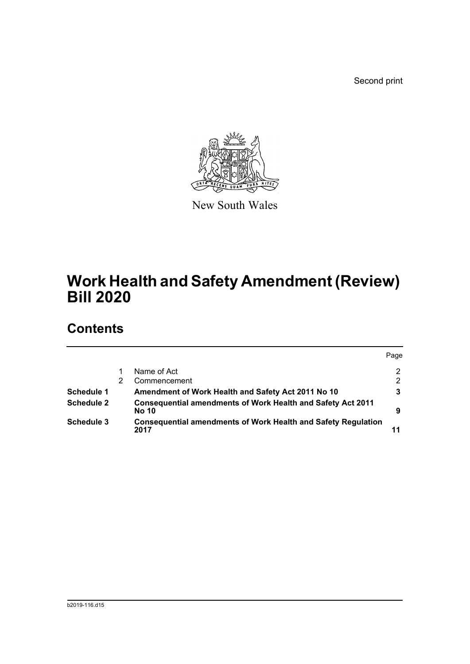Second print



New South Wales

# **Work Health and Safety Amendment (Review) Bill 2020**

## **Contents**

|                   |                                                                                    | Page |
|-------------------|------------------------------------------------------------------------------------|------|
|                   | Name of Act                                                                        | 2    |
|                   | Commencement                                                                       | 2    |
| Schedule 1        | Amendment of Work Health and Safety Act 2011 No 10                                 | 3    |
| <b>Schedule 2</b> | <b>Consequential amendments of Work Health and Safety Act 2011</b><br><b>No 10</b> | 9    |
| Schedule 3        | <b>Consequential amendments of Work Health and Safety Regulation</b><br>2017       |      |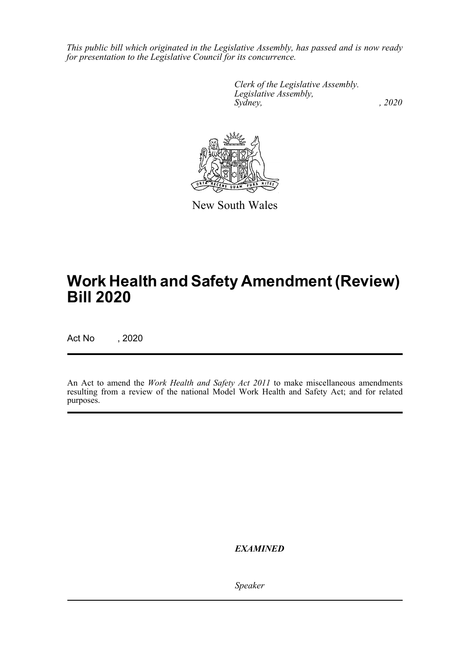*This public bill which originated in the Legislative Assembly, has passed and is now ready for presentation to the Legislative Council for its concurrence.*

> *Clerk of the Legislative Assembly. Legislative Assembly, Sydney, , 2020*



New South Wales

## **Work Health and Safety Amendment (Review) Bill 2020**

Act No , 2020

An Act to amend the *Work Health and Safety Act 2011* to make miscellaneous amendments resulting from a review of the national Model Work Health and Safety Act; and for related purposes.

*EXAMINED*

*Speaker*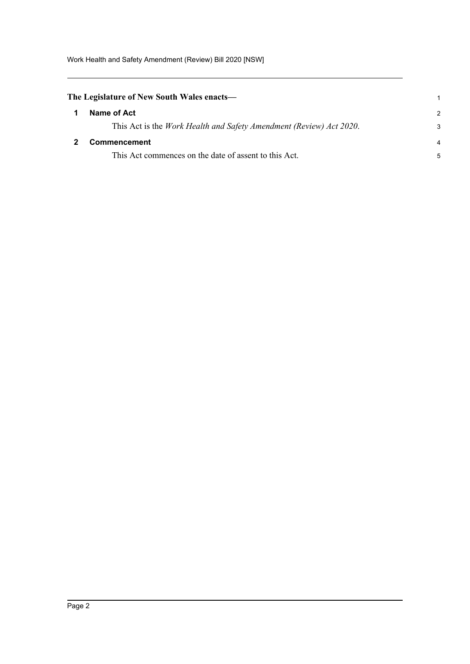Work Health and Safety Amendment (Review) Bill 2020 [NSW]

<span id="page-2-1"></span><span id="page-2-0"></span>

| The Legislature of New South Wales enacts— |                                                                             |               |
|--------------------------------------------|-----------------------------------------------------------------------------|---------------|
|                                            | Name of Act                                                                 | $\mathcal{P}$ |
|                                            | This Act is the <i>Work Health and Safety Amendment (Review) Act 2020</i> . | 3             |
|                                            | <b>Commencement</b>                                                         | 4             |
|                                            | This Act commences on the date of assent to this Act.                       | 5             |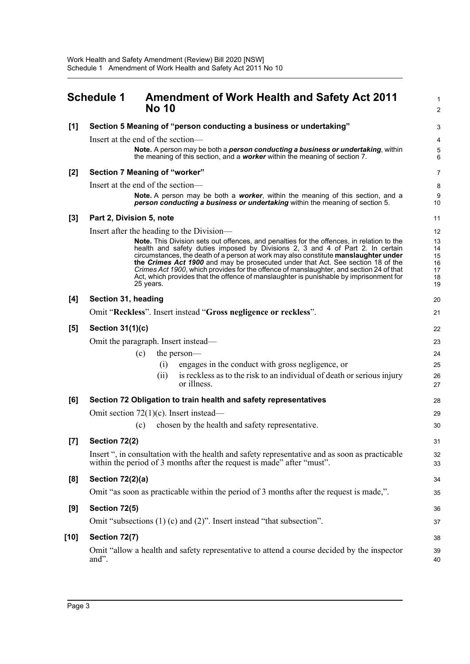<span id="page-3-0"></span>

|       | <b>Schedule 1</b><br><b>Amendment of Work Health and Safety Act 2011</b><br><b>No 10</b>                                                                                                                                                                                                                                                                                                                                                                                                                                                                | 1<br>$\overline{2}$                    |
|-------|---------------------------------------------------------------------------------------------------------------------------------------------------------------------------------------------------------------------------------------------------------------------------------------------------------------------------------------------------------------------------------------------------------------------------------------------------------------------------------------------------------------------------------------------------------|----------------------------------------|
| [1]   | Section 5 Meaning of "person conducting a business or undertaking"                                                                                                                                                                                                                                                                                                                                                                                                                                                                                      | 3                                      |
|       | Insert at the end of the section-                                                                                                                                                                                                                                                                                                                                                                                                                                                                                                                       | 4                                      |
|       | Note. A person may be both a <i>person conducting a business or undertaking</i> , within<br>the meaning of this section, and a <b>worker</b> within the meaning of section 7.                                                                                                                                                                                                                                                                                                                                                                           | 5<br>6                                 |
| [2]   | Section 7 Meaning of "worker"                                                                                                                                                                                                                                                                                                                                                                                                                                                                                                                           | $\overline{7}$                         |
|       | Insert at the end of the section-                                                                                                                                                                                                                                                                                                                                                                                                                                                                                                                       | 8                                      |
|       | <b>Note.</b> A person may be both a <b>worker</b> , within the meaning of this section, and a<br>person conducting a business or undertaking within the meaning of section 5.                                                                                                                                                                                                                                                                                                                                                                           | 9<br>10                                |
| $[3]$ | Part 2, Division 5, note                                                                                                                                                                                                                                                                                                                                                                                                                                                                                                                                | 11                                     |
|       | Insert after the heading to the Division—                                                                                                                                                                                                                                                                                                                                                                                                                                                                                                               | 12                                     |
|       | Note. This Division sets out offences, and penalties for the offences, in relation to the<br>health and safety duties imposed by Divisions 2, 3 and 4 of Part 2. In certain<br>circumstances, the death of a person at work may also constitute manslaughter under<br>the Crimes Act 1900 and may be prosecuted under that Act. See section 18 of the<br>Crimes Act 1900, which provides for the offence of manslaughter, and section 24 of that<br>Act, which provides that the offence of manslaughter is punishable by imprisonment for<br>25 years. | 13<br>14<br>15<br>16<br>17<br>18<br>19 |
| [4]   | Section 31, heading                                                                                                                                                                                                                                                                                                                                                                                                                                                                                                                                     | 20                                     |
|       | Omit "Reckless". Insert instead "Gross negligence or reckless".                                                                                                                                                                                                                                                                                                                                                                                                                                                                                         | 21                                     |
| [5]   | <b>Section 31(1)(c)</b>                                                                                                                                                                                                                                                                                                                                                                                                                                                                                                                                 | 22                                     |
|       | Omit the paragraph. Insert instead-                                                                                                                                                                                                                                                                                                                                                                                                                                                                                                                     | 23                                     |
|       | (c)<br>the person—                                                                                                                                                                                                                                                                                                                                                                                                                                                                                                                                      | 24                                     |
|       | engages in the conduct with gross negligence, or<br>(i)                                                                                                                                                                                                                                                                                                                                                                                                                                                                                                 | 25                                     |
|       | is reckless as to the risk to an individual of death or serious injury<br>(i)<br>or illness.                                                                                                                                                                                                                                                                                                                                                                                                                                                            | 26<br>27                               |
| [6]   | Section 72 Obligation to train health and safety representatives                                                                                                                                                                                                                                                                                                                                                                                                                                                                                        | 28                                     |
|       | Omit section $72(1)(c)$ . Insert instead—                                                                                                                                                                                                                                                                                                                                                                                                                                                                                                               | 29                                     |
|       | chosen by the health and safety representative.<br>(c)                                                                                                                                                                                                                                                                                                                                                                                                                                                                                                  | 30                                     |
| [7]   | Section 72(2)                                                                                                                                                                                                                                                                                                                                                                                                                                                                                                                                           | 31                                     |
|       | Insert ", in consultation with the health and safety representative and as soon as practicable<br>within the period of 3 months after the request is made" after "must".                                                                                                                                                                                                                                                                                                                                                                                | 32<br>33                               |
| [8]   | <b>Section 72(2)(a)</b>                                                                                                                                                                                                                                                                                                                                                                                                                                                                                                                                 | 34                                     |
|       | Omit "as soon as practicable within the period of 3 months after the request is made,".                                                                                                                                                                                                                                                                                                                                                                                                                                                                 | 35                                     |
| [9]   | Section 72(5)                                                                                                                                                                                                                                                                                                                                                                                                                                                                                                                                           | 36                                     |
|       | Omit "subsections $(1)$ (c) and $(2)$ ". Insert instead "that subsection".                                                                                                                                                                                                                                                                                                                                                                                                                                                                              | 37                                     |
| [10]  | Section 72(7)                                                                                                                                                                                                                                                                                                                                                                                                                                                                                                                                           | 38                                     |
|       | Omit "allow a health and safety representative to attend a course decided by the inspector<br>and".                                                                                                                                                                                                                                                                                                                                                                                                                                                     | 39<br>40                               |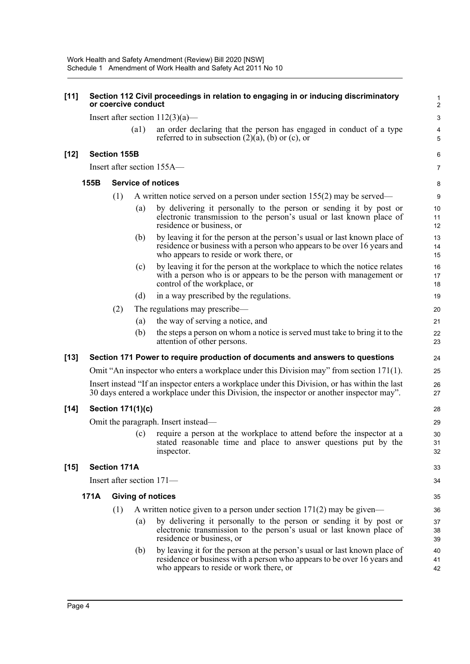| $[11]$ | Section 112 Civil proceedings in relation to engaging in or inducing discriminatory<br>or coercive conduct |                     |                    |                                                                                                                                                                                                 |                |
|--------|------------------------------------------------------------------------------------------------------------|---------------------|--------------------|-------------------------------------------------------------------------------------------------------------------------------------------------------------------------------------------------|----------------|
|        |                                                                                                            |                     |                    | Insert after section $112(3)(a)$ —                                                                                                                                                              | $\mathsf 3$    |
|        |                                                                                                            |                     | $\left( a1\right)$ | an order declaring that the person has engaged in conduct of a type<br>referred to in subsection $(2)(a)$ , (b) or (c), or                                                                      | 4<br>5         |
| $[12]$ |                                                                                                            | <b>Section 155B</b> |                    |                                                                                                                                                                                                 | 6              |
|        |                                                                                                            |                     |                    | Insert after section 155A—                                                                                                                                                                      | 7              |
|        | 155B                                                                                                       |                     |                    | <b>Service of notices</b>                                                                                                                                                                       | 8              |
|        |                                                                                                            | (1)                 |                    | A written notice served on a person under section $155(2)$ may be served—                                                                                                                       | 9              |
|        |                                                                                                            |                     | (a)                | by delivering it personally to the person or sending it by post or<br>electronic transmission to the person's usual or last known place of<br>residence or business, or                         | 10<br>11<br>12 |
|        |                                                                                                            |                     | (b)                | by leaving it for the person at the person's usual or last known place of<br>residence or business with a person who appears to be over 16 years and<br>who appears to reside or work there, or | 13<br>14<br>15 |
|        |                                                                                                            |                     | (c)                | by leaving it for the person at the workplace to which the notice relates<br>with a person who is or appears to be the person with management or<br>control of the workplace, or                | 16<br>17<br>18 |
|        |                                                                                                            |                     | (d)                | in a way prescribed by the regulations.                                                                                                                                                         | 19             |
|        |                                                                                                            | (2)                 |                    | The regulations may prescribe—                                                                                                                                                                  | 20             |
|        |                                                                                                            |                     | (a)                | the way of serving a notice, and                                                                                                                                                                | 21             |
|        |                                                                                                            |                     | (b)                | the steps a person on whom a notice is served must take to bring it to the<br>attention of other persons.                                                                                       | 22<br>23       |
| $[13]$ |                                                                                                            |                     |                    | Section 171 Power to require production of documents and answers to questions                                                                                                                   | 24             |
|        |                                                                                                            |                     |                    | Omit "An inspector who enters a workplace under this Division may" from section 171(1).                                                                                                         | 25             |
|        |                                                                                                            |                     |                    | Insert instead "If an inspector enters a workplace under this Division, or has within the last<br>30 days entered a workplace under this Division, the inspector or another inspector may".     | 26<br>27       |
| $[14]$ |                                                                                                            |                     | Section 171(1)(c)  |                                                                                                                                                                                                 | 28             |
|        |                                                                                                            |                     |                    | Omit the paragraph. Insert instead—                                                                                                                                                             | 29             |
|        |                                                                                                            |                     | (c)                | require a person at the workplace to attend before the inspector at a<br>stated reasonable time and place to answer questions put by the<br>inspector.                                          | 30<br>31<br>32 |
| $[15]$ |                                                                                                            | <b>Section 171A</b> |                    |                                                                                                                                                                                                 | 33             |
|        |                                                                                                            |                     |                    | Insert after section 171-                                                                                                                                                                       | 34             |
|        | 171A                                                                                                       |                     |                    | <b>Giving of notices</b>                                                                                                                                                                        | 35             |
|        |                                                                                                            | (1)                 |                    | A written notice given to a person under section $171(2)$ may be given—                                                                                                                         | 36             |
|        |                                                                                                            |                     | (a)                | by delivering it personally to the person or sending it by post or<br>electronic transmission to the person's usual or last known place of<br>residence or business, or                         | 37<br>38<br>39 |
|        |                                                                                                            |                     | (b)                | by leaving it for the person at the person's usual or last known place of<br>residence or business with a person who appears to be over 16 years and<br>who appears to reside or work there, or | 40<br>41<br>42 |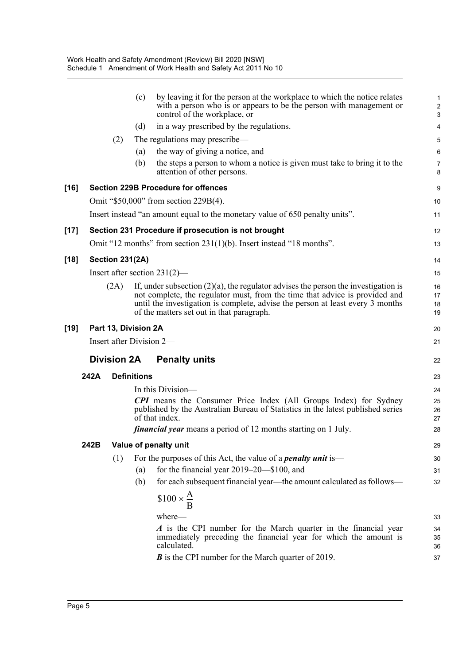|        |      |                        | (c)                  | by leaving it for the person at the workplace to which the notice relates<br>with a person who is or appears to be the person with management or<br>control of the workplace, or                                                                                                                    | 1<br>$\overline{\mathbf{c}}$<br>3 |
|--------|------|------------------------|----------------------|-----------------------------------------------------------------------------------------------------------------------------------------------------------------------------------------------------------------------------------------------------------------------------------------------------|-----------------------------------|
|        |      |                        | (d)                  | in a way prescribed by the regulations.                                                                                                                                                                                                                                                             | 4                                 |
|        |      | (2)                    |                      | The regulations may prescribe—                                                                                                                                                                                                                                                                      | 5                                 |
|        |      |                        | (a)                  | the way of giving a notice, and                                                                                                                                                                                                                                                                     | $6\phantom{1}6$                   |
|        |      |                        | (b)                  | the steps a person to whom a notice is given must take to bring it to the<br>attention of other persons.                                                                                                                                                                                            | 7<br>8                            |
| $[16]$ |      |                        |                      | <b>Section 229B Procedure for offences</b>                                                                                                                                                                                                                                                          | 9                                 |
|        |      |                        |                      | Omit "\$50,000" from section 229B(4).                                                                                                                                                                                                                                                               | 10                                |
|        |      |                        |                      | Insert instead "an amount equal to the monetary value of 650 penalty units".                                                                                                                                                                                                                        | 11                                |
| $[17]$ |      |                        |                      | Section 231 Procedure if prosecution is not brought                                                                                                                                                                                                                                                 | 12                                |
|        |      |                        |                      | Omit "12 months" from section $231(1)(b)$ . Insert instead "18 months".                                                                                                                                                                                                                             | 13                                |
| $[18]$ |      | <b>Section 231(2A)</b> |                      |                                                                                                                                                                                                                                                                                                     | 14                                |
|        |      |                        |                      | Insert after section $231(2)$ —                                                                                                                                                                                                                                                                     | 15                                |
|        |      | (2A)                   |                      | If, under subsection $(2)(a)$ , the regulator advises the person the investigation is<br>not complete, the regulator must, from the time that advice is provided and<br>until the investigation is complete, advise the person at least every 3 months<br>of the matters set out in that paragraph. | 16<br>17<br>18<br>19              |
| $[19]$ |      |                        | Part 13, Division 2A |                                                                                                                                                                                                                                                                                                     | 20                                |
|        |      |                        |                      | Insert after Division 2-                                                                                                                                                                                                                                                                            | 21                                |
|        |      | <b>Division 2A</b>     |                      | <b>Penalty units</b>                                                                                                                                                                                                                                                                                | 22                                |
|        | 242A |                        | <b>Definitions</b>   |                                                                                                                                                                                                                                                                                                     | 23                                |
|        |      |                        |                      | In this Division—                                                                                                                                                                                                                                                                                   | 24                                |
|        |      |                        |                      | <b>CPI</b> means the Consumer Price Index (All Groups Index) for Sydney<br>published by the Australian Bureau of Statistics in the latest published series<br>of that index.                                                                                                                        | 25<br>26<br>27                    |
|        |      |                        |                      | <i>financial year</i> means a period of 12 months starting on 1 July.                                                                                                                                                                                                                               | 28                                |
|        | 242B |                        |                      | Value of penalty unit                                                                                                                                                                                                                                                                               | 29                                |
|        |      | (1)                    |                      | For the purposes of this Act, the value of a <i>penalty unit</i> is—                                                                                                                                                                                                                                | 30                                |
|        |      |                        | (a)                  | for the financial year $2019-20$ —\$100, and                                                                                                                                                                                                                                                        | 31                                |
|        |      |                        | (b)                  | for each subsequent financial year—the amount calculated as follows—                                                                                                                                                                                                                                | 32                                |
|        |      |                        |                      | $$100 \times \frac{A}{B}$                                                                                                                                                                                                                                                                           |                                   |
|        |      |                        |                      | where-                                                                                                                                                                                                                                                                                              | 33                                |
|        |      |                        |                      | A is the CPI number for the March quarter in the financial year<br>immediately preceding the financial year for which the amount is                                                                                                                                                                 | 34<br>35                          |
|        |      |                        |                      | calculated.                                                                                                                                                                                                                                                                                         | 36                                |
|        |      |                        |                      | <b>B</b> is the CPI number for the March quarter of 2019.                                                                                                                                                                                                                                           | 37                                |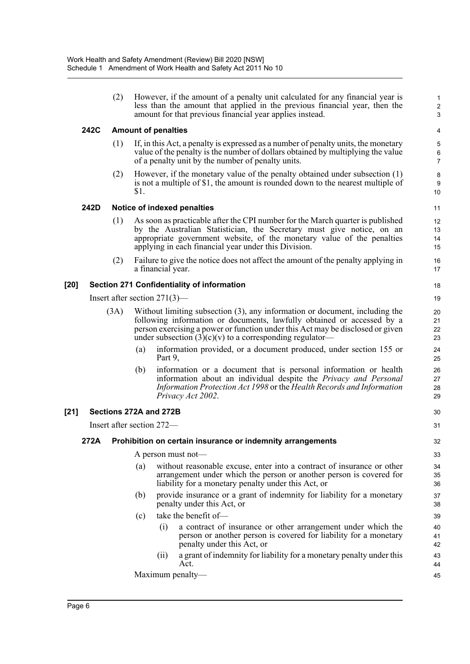(2) However, if the amount of a penalty unit calculated for any financial year is less than the amount that applied in the previous financial year, then the amount for that previous financial year applies instead.

30 31

### **242C Amount of penalties**

- (1) If, in this Act, a penalty is expressed as a number of penalty units, the monetary value of the penalty is the number of dollars obtained by multiplying the value of a penalty unit by the number of penalty units.
- (2) However, if the monetary value of the penalty obtained under subsection (1) is not a multiple of \$1, the amount is rounded down to the nearest multiple of \$1.

### **242D Notice of indexed penalties**

- (1) As soon as practicable after the CPI number for the March quarter is published by the Australian Statistician, the Secretary must give notice, on an appropriate government website, of the monetary value of the penalties applying in each financial year under this Division.
- (2) Failure to give the notice does not affect the amount of the penalty applying in a financial year.

### **[20] Section 271 Confidentiality of information**

Insert after section 271(3)—

- (3A) Without limiting subsection (3), any information or document, including the following information or documents, lawfully obtained or accessed by a person exercising a power or function under this Act may be disclosed or given under subsection  $(3)(c)(v)$  to a corresponding regulator-
	- (a) information provided, or a document produced, under section 155 or Part 9,
	- (b) information or a document that is personal information or health information about an individual despite the *Privacy and Personal Information Protection Act 1998* or the *Health Records and Information Privacy Act 2002*.

#### **[21] Sections 272A and 272B**

Insert after section 272—

#### **272A Prohibition on certain insurance or indemnity arrangements**

A person must not—

- (a) without reasonable excuse, enter into a contract of insurance or other arrangement under which the person or another person is covered for liability for a monetary penalty under this Act, or
- (b) provide insurance or a grant of indemnity for liability for a monetary penalty under this Act, or
- (c) take the benefit of—
	- (i) a contract of insurance or other arrangement under which the person or another person is covered for liability for a monetary penalty under this Act, or
	- (ii) a grant of indemnity for liability for a monetary penalty under this Act.

Maximum penalty—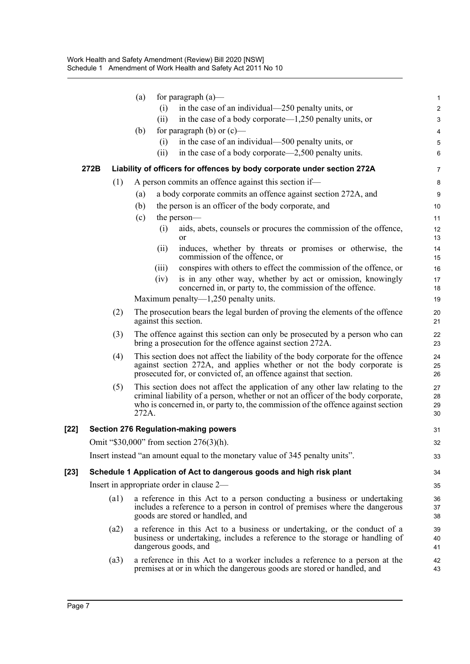|        |      |      | (a)   |       | for paragraph $(a)$ —                                                                                                                                                                                                                                | $\mathbf{1}$         |
|--------|------|------|-------|-------|------------------------------------------------------------------------------------------------------------------------------------------------------------------------------------------------------------------------------------------------------|----------------------|
|        |      |      |       | (i)   | in the case of an individual—250 penalty units, or                                                                                                                                                                                                   | $\overline{2}$       |
|        |      |      |       | (ii)  | in the case of a body corporate— $1,250$ penalty units, or                                                                                                                                                                                           | 3                    |
|        |      |      | (b)   |       | for paragraph (b) or $(c)$ —                                                                                                                                                                                                                         | 4                    |
|        |      |      |       | (i)   | in the case of an individual-500 penalty units, or                                                                                                                                                                                                   | $\mathbf 5$          |
|        |      |      |       | (ii)  | in the case of a body corporate—2,500 penalty units.                                                                                                                                                                                                 | 6                    |
|        | 272B |      |       |       | Liability of officers for offences by body corporate under section 272A                                                                                                                                                                              | 7                    |
|        |      | (1)  |       |       | A person commits an offence against this section if—                                                                                                                                                                                                 | 8                    |
|        |      |      | (a)   |       | a body corporate commits an offence against section 272A, and                                                                                                                                                                                        | $\boldsymbol{9}$     |
|        |      |      | (b)   |       | the person is an officer of the body corporate, and                                                                                                                                                                                                  | 10                   |
|        |      |      | (c)   |       | the person—                                                                                                                                                                                                                                          | 11                   |
|        |      |      |       | (i)   | aids, abets, counsels or procures the commission of the offence,<br><b>or</b>                                                                                                                                                                        | 12<br>13             |
|        |      |      |       | (ii)  | induces, whether by threats or promises or otherwise, the<br>commission of the offence, or                                                                                                                                                           | 14<br>15             |
|        |      |      |       | (iii) | conspires with others to effect the commission of the offence, or                                                                                                                                                                                    | 16                   |
|        |      |      |       | (iv)  | is in any other way, whether by act or omission, knowingly<br>concerned in, or party to, the commission of the offence.                                                                                                                              | 17<br>18             |
|        |      |      |       |       | Maximum penalty— $1,250$ penalty units.                                                                                                                                                                                                              | 19                   |
|        |      | (2)  |       |       | The prosecution bears the legal burden of proving the elements of the offence<br>against this section.                                                                                                                                               | 20<br>21             |
|        |      | (3)  |       |       | The offence against this section can only be prosecuted by a person who can<br>bring a prosecution for the offence against section 272A.                                                                                                             | 22<br>23             |
|        |      | (4)  |       |       | This section does not affect the liability of the body corporate for the offence<br>against section 272A, and applies whether or not the body corporate is<br>prosecuted for, or convicted of, an offence against that section.                      | 24<br>25<br>26       |
|        |      | (5)  | 272A. |       | This section does not affect the application of any other law relating to the<br>criminal liability of a person, whether or not an officer of the body corporate,<br>who is concerned in, or party to, the commission of the offence against section | 27<br>28<br>29<br>30 |
| [22]   |      |      |       |       | <b>Section 276 Regulation-making powers</b>                                                                                                                                                                                                          | 31                   |
|        |      |      |       |       | Omit "\$30,000" from section 276(3)(h).                                                                                                                                                                                                              | 32                   |
|        |      |      |       |       | Insert instead "an amount equal to the monetary value of 345 penalty units".                                                                                                                                                                         | 33                   |
| $[23]$ |      |      |       |       | Schedule 1 Application of Act to dangerous goods and high risk plant                                                                                                                                                                                 | 34                   |
|        |      |      |       |       | Insert in appropriate order in clause 2—                                                                                                                                                                                                             | 35                   |
|        |      | (a1) |       |       | a reference in this Act to a person conducting a business or undertaking<br>includes a reference to a person in control of premises where the dangerous<br>goods are stored or handled, and                                                          | 36<br>37<br>38       |
|        |      | (a2) |       |       | a reference in this Act to a business or undertaking, or the conduct of a<br>business or undertaking, includes a reference to the storage or handling of<br>dangerous goods, and                                                                     | 39<br>40<br>41       |
|        |      | (a3) |       |       | a reference in this Act to a worker includes a reference to a person at the<br>premises at or in which the dangerous goods are stored or handled, and                                                                                                | 42<br>43             |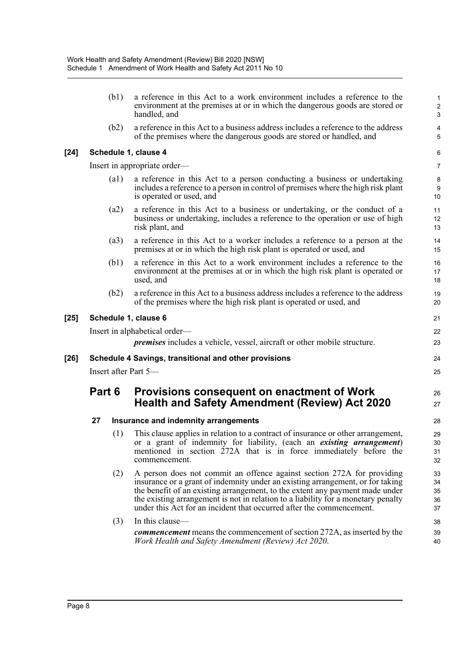|        |                      | (b1)               | a reference in this Act to a work environment includes a reference to the<br>environment at the premises at or in which the dangerous goods are stored or<br>handled, and                                                                                                                                                                                                                             | $\mathbf{1}$<br>$\sqrt{2}$<br>$\mathbf{3}$ |  |  |  |  |
|--------|----------------------|--------------------|-------------------------------------------------------------------------------------------------------------------------------------------------------------------------------------------------------------------------------------------------------------------------------------------------------------------------------------------------------------------------------------------------------|--------------------------------------------|--|--|--|--|
|        |                      | (b2)               | a reference in this Act to a business address includes a reference to the address<br>of the premises where the dangerous goods are stored or handled, and                                                                                                                                                                                                                                             | 4<br>5                                     |  |  |  |  |
| [24]   |                      |                    | Schedule 1, clause 4                                                                                                                                                                                                                                                                                                                                                                                  | 6                                          |  |  |  |  |
|        |                      |                    | Insert in appropriate order—                                                                                                                                                                                                                                                                                                                                                                          | 7                                          |  |  |  |  |
|        |                      | $\left( a1\right)$ | a reference in this Act to a person conducting a business or undertaking<br>includes a reference to a person in control of premises where the high risk plant<br>is operated or used, and                                                                                                                                                                                                             | $\bf 8$<br>9<br>10                         |  |  |  |  |
|        |                      | (a2)               | a reference in this Act to a business or undertaking, or the conduct of a<br>business or undertaking, includes a reference to the operation or use of high<br>risk plant, and                                                                                                                                                                                                                         | 11<br>12<br>13                             |  |  |  |  |
|        |                      | (a3)               | a reference in this Act to a worker includes a reference to a person at the<br>premises at or in which the high risk plant is operated or used, and                                                                                                                                                                                                                                                   | 14<br>15                                   |  |  |  |  |
|        |                      | (b1)               | a reference in this Act to a work environment includes a reference to the<br>environment at the premises at or in which the high risk plant is operated or<br>used, and                                                                                                                                                                                                                               | 16<br>17<br>18                             |  |  |  |  |
|        |                      | (b2)               | a reference in this Act to a business address includes a reference to the address<br>of the premises where the high risk plant is operated or used, and                                                                                                                                                                                                                                               | 19<br>20                                   |  |  |  |  |
| $[25]$ |                      |                    | Schedule 1, clause 6                                                                                                                                                                                                                                                                                                                                                                                  | 21                                         |  |  |  |  |
|        |                      |                    | Insert in alphabetical order-                                                                                                                                                                                                                                                                                                                                                                         | 22                                         |  |  |  |  |
|        |                      |                    | <i>premises</i> includes a vehicle, vessel, aircraft or other mobile structure.                                                                                                                                                                                                                                                                                                                       | 23                                         |  |  |  |  |
| $[26]$ |                      |                    | Schedule 4 Savings, transitional and other provisions                                                                                                                                                                                                                                                                                                                                                 | 24                                         |  |  |  |  |
|        | Insert after Part 5- |                    |                                                                                                                                                                                                                                                                                                                                                                                                       |                                            |  |  |  |  |
|        | Part 6               |                    | Provisions consequent on enactment of Work<br><b>Health and Safety Amendment (Review) Act 2020</b>                                                                                                                                                                                                                                                                                                    | 26<br>27                                   |  |  |  |  |
|        | 27                   |                    | Insurance and indemnity arrangements                                                                                                                                                                                                                                                                                                                                                                  | 28                                         |  |  |  |  |
|        |                      | (1)                | This clause applies in relation to a contract of insurance or other arrangement,<br>or a grant of indemnity for liability, (each an existing arrangement)<br>mentioned in section 272A that is in force immediately before the<br>commencement.                                                                                                                                                       | 29<br>30<br>31<br>32                       |  |  |  |  |
|        |                      | (2)                | A person does not commit an offence against section 272A for providing<br>insurance or a grant of indemnity under an existing arrangement, or for taking<br>the benefit of an existing arrangement, to the extent any payment made under<br>the existing arrangement is not in relation to a liability for a monetary penalty<br>under this Act for an incident that occurred after the commencement. | 33<br>34<br>35<br>36<br>37                 |  |  |  |  |
|        |                      | (3)                | In this clause-                                                                                                                                                                                                                                                                                                                                                                                       | 38                                         |  |  |  |  |
|        |                      |                    | <b><i>commencement</i></b> means the commencement of section 272A, as inserted by the<br>Work Health and Safety Amendment (Review) Act 2020.                                                                                                                                                                                                                                                          | 39<br>40                                   |  |  |  |  |

 $[24]$ 

[25]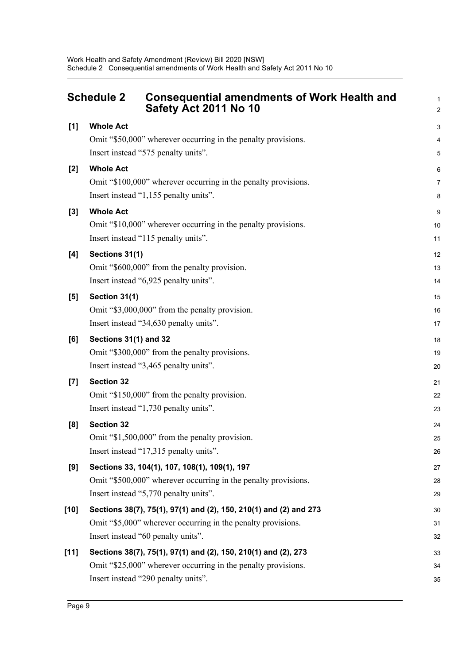<span id="page-9-0"></span>

|        | <b>Schedule 2</b><br><b>Consequential amendments of Work Health and</b><br>Safety Act 2011 No 10     | $\mathbf{1}$<br>$\overline{c}$ |
|--------|------------------------------------------------------------------------------------------------------|--------------------------------|
| $[1]$  | <b>Whole Act</b>                                                                                     | 3                              |
|        | Omit "\$50,000" wherever occurring in the penalty provisions.                                        | 4                              |
|        | Insert instead "575 penalty units".                                                                  | 5                              |
| $[2]$  | <b>Whole Act</b>                                                                                     | 6                              |
|        | Omit "\$100,000" wherever occurring in the penalty provisions.                                       | $\overline{7}$                 |
|        | Insert instead "1,155 penalty units".                                                                | 8                              |
| $[3]$  | <b>Whole Act</b>                                                                                     | 9                              |
|        | Omit "\$10,000" wherever occurring in the penalty provisions.                                        | 10                             |
|        | Insert instead "115 penalty units".                                                                  | 11                             |
| [4]    | Sections 31(1)                                                                                       | 12                             |
|        | Omit "\$600,000" from the penalty provision.                                                         | 13                             |
|        | Insert instead "6,925 penalty units".                                                                | 14                             |
| [5]    | Section 31(1)                                                                                        | 15                             |
|        | Omit "\$3,000,000" from the penalty provision.                                                       | 16                             |
|        | Insert instead "34,630 penalty units".                                                               | 17                             |
| [6]    | Sections 31(1) and 32                                                                                | 18                             |
|        | Omit "\$300,000" from the penalty provisions.                                                        | 19                             |
|        | Insert instead "3,465 penalty units".                                                                | 20                             |
| $[7]$  | <b>Section 32</b>                                                                                    | 21                             |
|        | Omit "\$150,000" from the penalty provision.                                                         | 22                             |
|        | Insert instead "1,730 penalty units".                                                                | 23                             |
| [8]    | <b>Section 32</b>                                                                                    | 24                             |
|        | Omit "\$1,500,000" from the penalty provision.                                                       | 25                             |
|        | Insert instead "17,315 penalty units".                                                               | 26                             |
| [9]    | Sections 33, 104(1), 107, 108(1), 109(1), 197                                                        | 27                             |
|        | Omit "\$500,000" wherever occurring in the penalty provisions.                                       | 28                             |
|        | Insert instead "5,770 penalty units".                                                                | 29                             |
| $[10]$ | Sections 38(7), 75(1), 97(1) and (2), 150, 210(1) and (2) and 273                                    | 30                             |
|        | Omit "\$5,000" wherever occurring in the penalty provisions.<br>Insert instead "60 penalty units".   | 31                             |
|        |                                                                                                      | 32                             |
| $[11]$ | Sections 38(7), 75(1), 97(1) and (2), 150, 210(1) and (2), 273                                       | 33                             |
|        | Omit "\$25,000" wherever occurring in the penalty provisions.<br>Insert instead "290 penalty units". | 34                             |
|        |                                                                                                      | 35                             |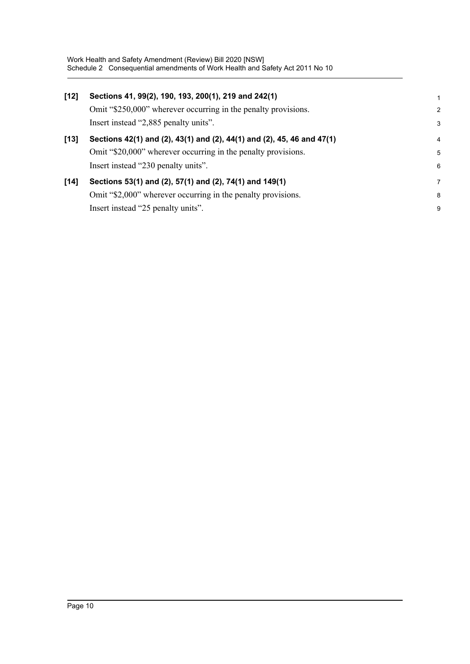| $[12]$ | Sections 41, 99(2), 190, 193, 200(1), 219 and 242(1)<br>Omit "\$250,000" wherever occurring in the penalty provisions.<br>Insert instead "2,885 penalty units".                | $\overline{2}$<br>3 |
|--------|--------------------------------------------------------------------------------------------------------------------------------------------------------------------------------|---------------------|
| $[13]$ | Sections 42(1) and (2), 43(1) and (2), 44(1) and (2), 45, 46 and 47(1)<br>Omit "\$20,000" wherever occurring in the penalty provisions.<br>Insert instead "230 penalty units". | 4<br>5<br>6         |
| $[14]$ | Sections 53(1) and (2), 57(1) and (2), 74(1) and 149(1)<br>Omit "\$2,000" wherever occurring in the penalty provisions.<br>Insert instead "25 penalty units".                  | 7<br>8<br>9         |